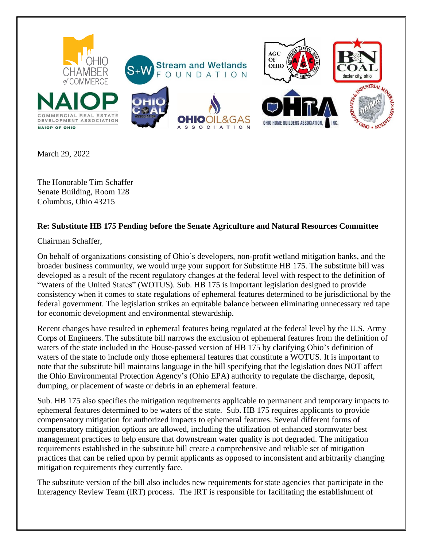

March 29, 2022

The Honorable Tim Schaffer Senate Building, Room 128 Columbus, Ohio 43215

## **Re: Substitute HB 175 Pending before the Senate Agriculture and Natural Resources Committee**

Chairman Schaffer,

On behalf of organizations consisting of Ohio's developers, non-profit wetland mitigation banks, and the broader business community, we would urge your support for Substitute HB 175. The substitute bill was developed as a result of the recent regulatory changes at the federal level with respect to the definition of "Waters of the United States" (WOTUS). Sub. HB 175 is important legislation designed to provide consistency when it comes to state regulations of ephemeral features determined to be jurisdictional by the federal government. The legislation strikes an equitable balance between eliminating unnecessary red tape for economic development and environmental stewardship.

Recent changes have resulted in ephemeral features being regulated at the federal level by the U.S. Army Corps of Engineers. The substitute bill narrows the exclusion of ephemeral features from the definition of waters of the state included in the House-passed version of HB 175 by clarifying Ohio's definition of waters of the state to include only those ephemeral features that constitute a WOTUS. It is important to note that the substitute bill maintains language in the bill specifying that the legislation does NOT affect the Ohio Environmental Protection Agency's (Ohio EPA) authority to regulate the discharge, deposit, dumping, or placement of waste or debris in an ephemeral feature.

Sub. HB 175 also specifies the mitigation requirements applicable to permanent and temporary impacts to ephemeral features determined to be waters of the state. Sub. HB 175 requires applicants to provide compensatory mitigation for authorized impacts to ephemeral features. Several different forms of compensatory mitigation options are allowed, including the utilization of enhanced stormwater best management practices to help ensure that downstream water quality is not degraded. The mitigation requirements established in the substitute bill create a comprehensive and reliable set of mitigation practices that can be relied upon by permit applicants as opposed to inconsistent and arbitrarily changing mitigation requirements they currently face.

The substitute version of the bill also includes new requirements for state agencies that participate in the Interagency Review Team (IRT) process. The IRT is responsible for facilitating the establishment of